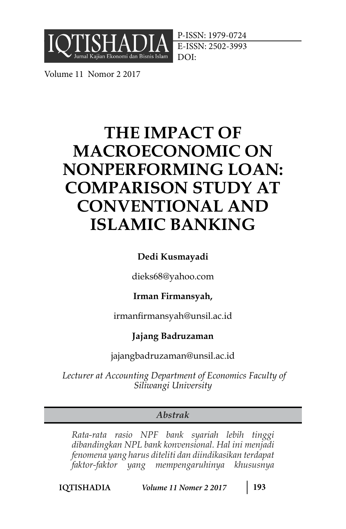

P-ISSN: 1979-0724 E-ISSN: 2502-3993 DOI:

Volume 11 Nomor 2 2017

# **THE IMPACT OF MACROECONOMIC ON NONPERFORMING LOAN: COMPARISON STUDY AT CONVENTIONAL AND ISLAMIC BANKING**

# **Dedi Kusmayadi**

dieks68@yahoo.com

# **Irman Firmansyah,**

irmanfirmansyah@unsil.ac.id

# **Jajang Badruzaman**

jajangbadruzaman@unsil.ac.id

*Lecturer at Accounting Department of Economics Faculty of Siliwangi University* 

# *Abstrak*

*Rata-rata rasio NPF bank syariah lebih tinggi dibandingkan NPL bank konvensional. Hal ini menjadi fenomena yang harus diteliti dan diindikasikan terdapat faktor-faktor yang mempengaruhinya khususnya*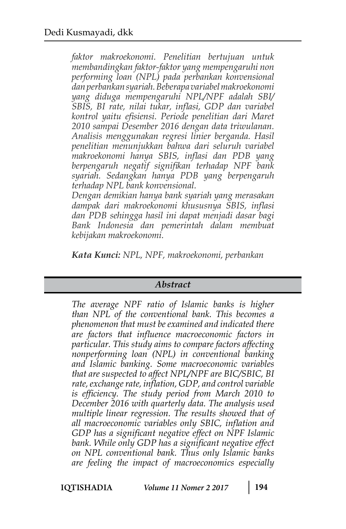*faktor makroekonomi. Penelitian bertujuan untuk membandingkan faktor-faktor yang mempengaruhi non performing loan (NPL) pada perbankan konvensional dan perbankan syariah. Beberapa variabel makroekonomi yang diduga mempengaruhi NPL/NPF adalah SBI/ SBIS, BI rate, nilai tukar, inflasi, GDP dan variabel kontrol yaitu efisiensi. Periode penelitian dari Maret 2010 sampai Desember 2016 dengan data triwulanan. Analisis menggunakan regresi linier berganda. Hasil penelitian menunjukkan bahwa dari seluruh variabel makroekonomi hanya SBIS, inflasi dan PDB yang berpengaruh negatif signifikan terhadap NPF bank syariah. Sedangkan hanya PDB yang berpengaruh terhadap NPL bank konvensional.*

*Dengan demikian hanya bank syariah yang merasakan dampak dari makroekonomi khususnya SBIS, inflasi dan PDB sehingga hasil ini dapat menjadi dasar bagi Bank Indonesia dan pemerintah dalam membuat kebijakan makroekonomi.*

*Kata Kunci: NPL, NPF, makroekonomi, perbankan*

## *Abstract*

*The average NPF ratio of Islamic banks is higher than NPL of the conventional bank. This becomes a phenomenon that must be examined and indicated there are factors that influence macroeconomic factors in particular. This study aims to compare factors affecting nonperforming loan (NPL) in conventional banking and Islamic banking. Some macroeconomic variables that are suspected to affect NPL/NPF are BIC/SBIC, BI rate, exchange rate, inflation, GDP, and control variable is efficiency. The study period from March 2010 to December 2016 with quarterly data. The analysis used multiple linear regression. The results showed that of all macroeconomic variables only SBIC, inflation and GDP has a significant negative effect on NPF Islamic bank. While only GDP has a significant negative effect on NPL conventional bank. Thus only Islamic banks are feeling the impact of macroeconomics especially*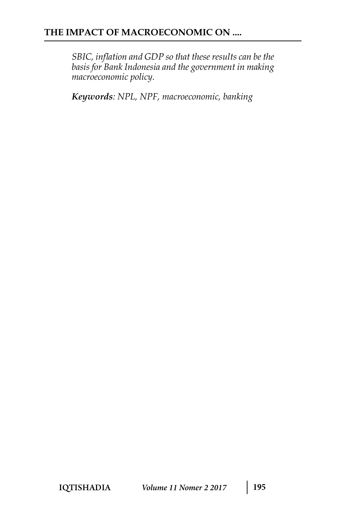*SBIC, inflation and GDP so that these results can be the basis for Bank Indonesia and the government in making macroeconomic policy.*

*Keywords: NPL, NPF, macroeconomic, banking*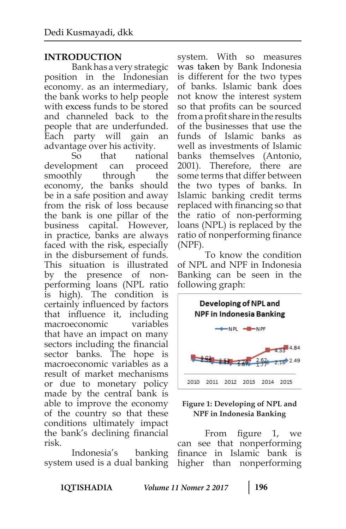# **INTRODUCTION**

Bank has a very strategic position in the Indonesian economy. as an intermediary, the bank works to help people with excess funds to be stored and channeled back to the people that are underfunded. Each party will gain an advantage over his activity.

So that national development can proceed smoothly through the economy, the banks should be in a safe position and away from the risk of loss because the bank is one pillar of the business capital. However, in practice, banks are always faced with the risk, especially in the disbursement of funds. This situation is illustrated by the presence of nonperforming loans (NPL ratio is high). The condition is certainly influenced by factors that influence it, including macroeconomic variables that have an impact on many sectors including the financial sector banks. The hope macroeconomic variables as a result of market mechanisms or due to monetary policy made by the central bank is able to improve the economy of the country so that these conditions ultimately impact the bank's declining financial risk.

Indonesia's banking system used is a dual banking system. With so measures was taken by Bank Indonesia is different for the two types of banks. Islamic bank does not know the interest system so that profits can be sourced from a profit share in the results of the businesses that use the funds of Islamic banks as well as investments of Islamic banks themselves (Antonio, 2001). Therefore, there are some terms that differ between the two types of banks. In Islamic banking credit terms replaced with financing so that the ratio of non-performing loans (NPL) is replaced by the ratio of nonperforming finance (NPF).

To know the condition of NPL and NPF in Indonesia Banking can be seen in the following graph:



#### **Figure 1: Developing of NPL and NPF in Indonesia Banking**

From figure 1, we can see that nonperforming finance in Islamic bank is higher than nonperforming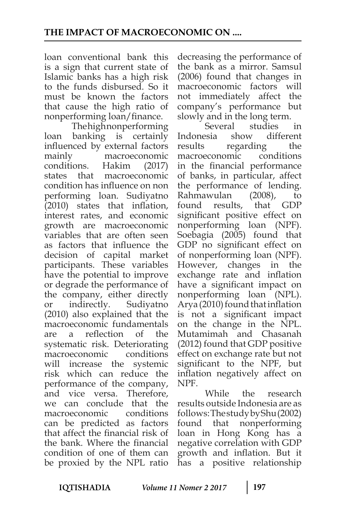loan conventional bank this is a sign that current state of Islamic banks has a high risk to the funds disbursed. So it must be known the factors that cause the high ratio of nonperforming loan/finance.

The high nonperforming loan banking is certainly influenced by external factors mainly macroeconomic conditions. Hakim (2017) states that macroeconomic condition has influence on non performing loan. Sudiyatno (2010) states that inflation, interest rates, and economic growth are macroeconomic variables that are often seen as factors that influence the decision of capital market participants. These variables have the potential to improve or degrade the performance of the company, either directly or indirectly. Sudiyatno (2010) also explained that the macroeconomic fundamentals are a reflection of the systematic risk. Deteriorating macroeconomic conditions will increase the systemic risk which can reduce the performance of the company, and vice versa. Therefore, we can conclude that the macroeconomic conditions can be predicted as factors that affect the financial risk of the bank. Where the financial condition of one of them can be proxied by the NPL ratio

decreasing the performance of the bank as a mirror. Samsul (2006) found that changes in macroeconomic factors will not immediately affect the company's performance but slowly and in the long term.

Several studies in Indonesia show different results regarding the macroeconomic conditions in the financial performance of banks, in particular, affect the performance of lending. Rahmawulan (2008), to found results, that GDP significant positive effect on nonperforming loan (NPF). Soebagia (2005) found that GDP no significant effect on of nonperforming loan (NPF). However, changes in the exchange rate and inflation have a significant impact on nonperforming loan (NPL). Arya (2010) found that inflation is not a significant impact on the change in the NPL. Mutamimah and Chasanah (2012) found that GDP positive effect on exchange rate but not significant to the NPF, but inflation negatively affect on NPF.

While the research results outside Indonesia are as follows: The study by Shu (2002) found that nonperforming loan in Hong Kong has a negative correlation with GDP growth and inflation. But it has a positive relationship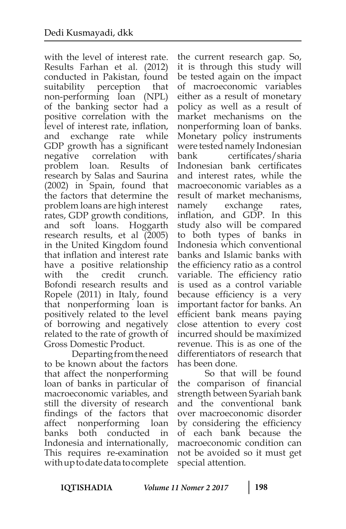with the level of interest rate. Results Farhan et al. (2012) conducted in Pakistan, found suitability perception that non-performing loan (NPL) of the banking sector had a positive correlation with the level of interest rate, inflation, and exchange rate while GDP growth has a significant negative correlation with problem loan. Results of research by Salas and Saurina (2002) in Spain, found that the factors that determine the problem loans are high interest rates, GDP growth conditions, and soft loans. Hoggarth research results, et al (2005) in the United Kingdom found that inflation and interest rate have a positive relationship with the credit crunch. Bofondi research results and Ropele (2011) in Italy, found that nonperforming loan is positively related to the level of borrowing and negatively related to the rate of growth of Gross Domestic Product.

Departing from the need to be known about the factors that affect the nonperforming loan of banks in particular of macroeconomic variables, and still the diversity of research findings of the factors that affect nonperforming loan banks both conducted in Indonesia and internationally, This requires re-examination with up to date data to complete

the current research gap. So, it is through this study will be tested again on the impact of macroeconomic variables either as a result of monetary policy as well as a result of market mechanisms on the nonperforming loan of banks. Monetary policy instruments were tested namely Indonesian bank certificates/sharia Indonesian bank certificates and interest rates, while the macroeconomic variables as a result of market mechanisms, namely exchange rates, inflation, and GDP. In this study also will be compared to both types of banks in Indonesia which conventional banks and Islamic banks with the efficiency ratio as a control variable. The efficiency ratio is used as a control variable because efficiency is a very important factor for banks. An efficient bank means paying close attention to every cost incurred should be maximized revenue. This is as one of the differentiators of research that has been done.

So that will be found the comparison of financial strength between Syariah bank and the conventional bank over macroeconomic disorder by considering the efficiency of each bank because the macroeconomic condition can not be avoided so it must get special attention.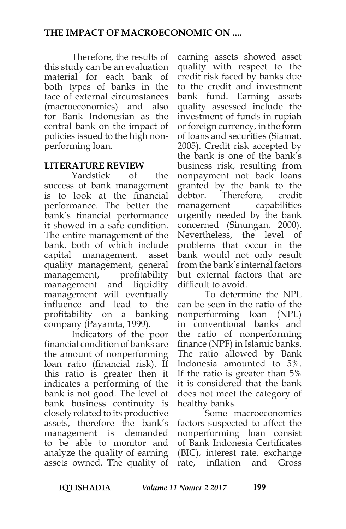Therefore, the results of this study can be an evaluation material for each bank of both types of banks in the face of external circumstances (macroeconomics) and also for Bank Indonesian as the central bank on the impact of policies issued to the high nonperforming loan.

## **LITERATURE REVIEW**

Yardstick of the success of bank management is to look at the financial performance. The better the bank's financial performance it showed in a safe condition. The entire management of the bank, both of which include capital management, asset quality management, general management, profitability management and liquidity management will eventually influence and lead to the profitability on a banking company (Payamta, 1999).

Indicators of the poor financial condition of banks are the amount of nonperforming loan ratio (financial risk). If this ratio is greater then it indicates a performing of the bank is not good. The level of bank business continuity is closely related to its productive assets, therefore the bank's management is demanded to be able to monitor and analyze the quality of earning assets owned. The quality of

earning assets showed asset quality with respect to the credit risk faced by banks due to the credit and investment bank fund. Earning assets quality assessed include the investment of funds in rupiah or foreign currency, in the form of loans and securities (Siamat, 2005). Credit risk accepted by the bank is one of the bank's business risk, resulting from nonpayment not back loans granted by the bank to the debtor. Therefore, credit management capabilities urgently needed by the bank concerned (Sinungan, 2000). Nevertheless, the level of problems that occur in the bank would not only result from the bank's internal factors but external factors that are difficult to avoid.

To determine the NPL can be seen in the ratio of the nonperforming loan (NPL) in conventional banks and the ratio of nonperforming finance (NPF) in Islamic banks. The ratio allowed by Bank Indonesia amounted to 5%. If the ratio is greater than 5% it is considered that the bank does not meet the category of healthy banks.

Some macroeconomics factors suspected to affect the nonperforming loan consist of Bank Indonesia Certificates (BIC), interest rate, exchange rate, inflation and Gross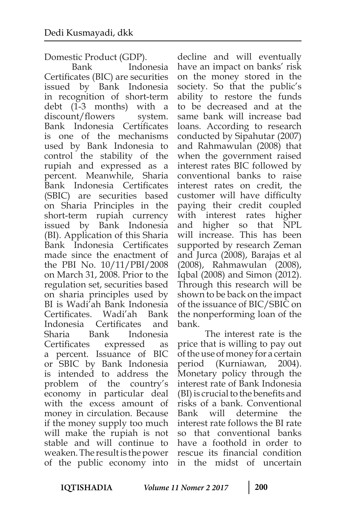Domestic Product (GDP).

Bank Indonesia Certificates (BIC) are securities issued by Bank Indonesia in recognition of short-term debt (1-3 months) with a discount/flowers system. Bank Indonesia Certificates is one of the mechanisms used by Bank Indonesia to control the stability of the rupiah and expressed as a percent. Meanwhile, Sharia Bank Indonesia Certificates (SBIC) are securities based on Sharia Principles in the short-term rupiah currency issued by Bank Indonesia (BI). Application of this Sharia Bank Indonesia Certificates made since the enactment of the PBI No. 10/11/PBI/2008 on March 31, 2008. Prior to the regulation set, securities based on sharia principles used by BI is Wadi'ah Bank Indonesia Certificates. Wadi'ah Bank Indonesia Certificates and Sharia Bank Indonesia Certificates expressed as a percent. Issuance of BIC or SBIC by Bank Indonesia is intended to address the problem of the country's economy in particular deal with the excess amount of money in circulation. Because if the money supply too much will make the rupiah is not stable and will continue to weaken. The result is the power of the public economy into

decline and will eventually have an impact on banks' risk on the money stored in the society. So that the public's ability to restore the funds to be decreased and at the same bank will increase bad loans. According to research conducted by Sipahutar (2007) and Rahmawulan (2008) that when the government raised interest rates BIC followed by conventional banks to raise interest rates on credit, the customer will have difficulty paying their credit coupled with interest rates higher and higher so that NPL will increase. This has been supported by research Zeman and Jurca (2008), Barajas et al (2008), Rahmawulan (2008), Iqbal (2008) and Simon (2012). Through this research will be shown to be back on the impact of the issuance of BIC/SBIC on the nonperforming loan of the bank.

The interest rate is the price that is willing to pay out of the use of money for a certain period (Kurniawan, 2004). Monetary policy through the interest rate of Bank Indonesia (BI) is crucial to the benefits and risks of a bank. Conventional Bank will determine the interest rate follows the BI rate so that conventional banks have a foothold in order to rescue its financial condition in the midst of uncertain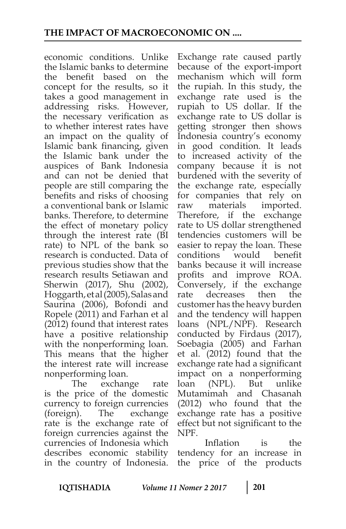economic conditions. Unlike the Islamic banks to determine the benefit based on the concept for the results, so it takes a good management in addressing risks. However, the necessary verification as to whether interest rates have an impact on the quality of Islamic bank financing, given the Islamic bank under the auspices of Bank Indonesia and can not be denied that people are still comparing the benefits and risks of choosing a conventional bank or Islamic banks. Therefore, to determine the effect of monetary policy through the interest rate (BI rate) to NPL of the bank so research is conducted. Data of previous studies show that the research results Setiawan and Sherwin (2017), Shu (2002), Hoggarth, et al (2005), Salas and Saurina (2006), Bofondi and Ropele (2011) and Farhan et al (2012) found that interest rates have a positive relationship with the nonperforming loan. This means that the higher the interest rate will increase nonperforming loan.

The exchange rate is the price of the domestic currency to foreign currencies (foreign). The exchange rate is the exchange rate of foreign currencies against the currencies of Indonesia which describes economic stability in the country of Indonesia.

Exchange rate caused partly because of the export-import mechanism which will form the rupiah. In this study, the exchange rate used is the rupiah to US dollar. If the exchange rate to US dollar is getting stronger then shows Indonesia country's economy in good condition. It leads to increased activity of the company because it is not burdened with the severity of the exchange rate, especially for companies that rely on raw materials imported. Therefore, if the exchange rate to US dollar strengthened tendencies customers will be easier to repay the loan. These conditions would benefit banks because it will increase profits and improve ROA. Conversely, if the exchange rate decreases then the customer has the heavy burden and the tendency will happen loans (NPL/NPF). Research conducted by Firdaus (2017), Soebagia (2005) and Farhan et al. (2012) found that the exchange rate had a significant impact on a nonperforming loan (NPL). But unlike Mutamimah and Chasanah (2012) who found that the exchange rate has a positive effect but not significant to the NPF.

Inflation is the tendency for an increase in the price of the products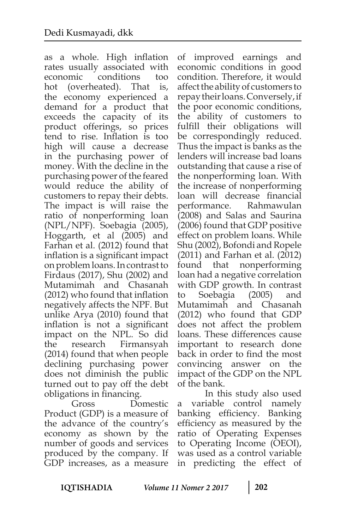as a whole. High inflation rates usually associated with economic conditions too hot (overheated). That is, the economy experienced a demand for a product that exceeds the capacity of its product offerings, so prices tend to rise. Inflation is too high will cause a decrease in the purchasing power of money. With the decline in the purchasing power of the feared would reduce the ability of customers to repay their debts. The impact is will raise the ratio of nonperforming loan (NPL/NPF). Soebagia (2005), Hoggarth, et al (2005) and Farhan et al. (2012) found that inflation is a significant impact on problem loans. In contrast to Firdaus (2017), Shu (2002) and Mutamimah and Chasanah (2012) who found that inflation negatively affects the NPF. But unlike Arya (2010) found that inflation is not a significant impact on the NPL. So did the research Firmansyah (2014) found that when people declining purchasing power does not diminish the public turned out to pay off the debt obligations in financing.

Gross Domestic Product (GDP) is a measure of the advance of the country's economy as shown by the number of goods and services produced by the company. If GDP increases, as a measure

of improved earnings and economic conditions in good condition. Therefore, it would affect the ability of customers to repay their loans. Conversely, if the poor economic conditions, the ability of customers to fulfill their obligations will be correspondingly reduced. Thus the impact is banks as the lenders will increase bad loans outstanding that cause a rise of the nonperforming loan. With the increase of nonperforming loan will decrease financial performance. Rahmawulan (2008) and Salas and Saurina (2006) found that GDP positive effect on problem loans. While Shu (2002), Bofondi and Ropele (2011) and Farhan et al. (2012) found that nonperforming loan had a negative correlation with GDP growth. In contrast to Soebagia (2005) and Mutamimah and Chasanah (2012) who found that GDP does not affect the problem loans. These differences cause important to research done back in order to find the most convincing answer on the impact of the GDP on the NPL of the bank.

In this study also used a variable control namely banking efficiency. Banking efficiency as measured by the ratio of Operating Expenses to Operating Income (OEOI), was used as a control variable in predicting the effect of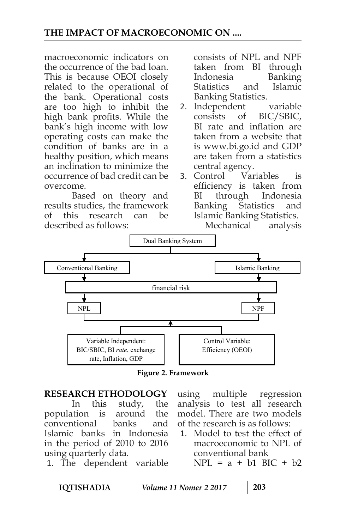macroeconomic indicators on the occurrence of the bad loan. This is because OEOI closely related to the operational of the bank. Operational costs are too high to inhibit the high bank profits. While the bank's high income with low operating costs can make the condition of banks are in a healthy position, which means an inclination to minimize the occurrence of bad credit can be overcome.

Based on theory and results studies, the framework of this research can be described as follows:

consists of NPL and NPF taken from BI through Indonesia Banking Statistics and Islamic Banking Statistics.

- 2. Independent variable consists of BIC/SBIC, BI rate and inflation are taken from a website that is www.bi.go.id and GDP are taken from a statistics central agency.
- 3. Control Variables is efficiency is taken from BI through Indonesia Banking Statistics and Islamic Banking Statistics.



**Figure 2. Framework**

#### **RESEARCH ETHODOLOGY**

In this study, the population is around the conventional banks and Islamic banks in Indonesia in the period of 2010 to 2016 using quarterly data.

1. The dependent variable

using multiple regression analysis to test all research model. There are two models of the research is as follows:

1. Model to test the effect of macroeconomic to NPL of conventional bank

 $NPL = a + b1 BIC + b2$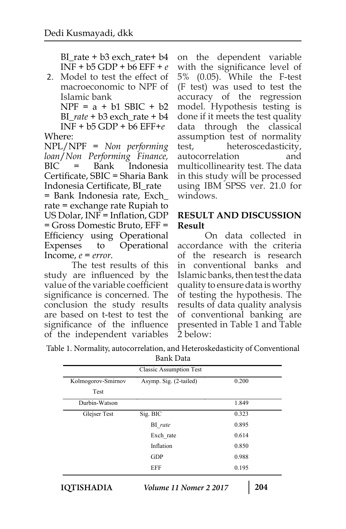BI rate +  $b3$  exch rate +  $b4$ INF + b5 GDP + b6 EFF + *e* 

2. Model to test the effect of macroeconomic to NPF of Islamic bank

 $NPF = a + b1 SBIC + b2$ BI\_*rate* + b3 exch\_rate + b4 INF + b5 GDP + b6 EFF+*e* 

Where: NPL/NPF = *Non performing loan*/*Non Performing Finance,*  BIC = Bank Indonesia Certificate, SBIC = Sharia Bank Indonesia Certificate, BI\_rate

= Bank Indonesia rate, Exch\_ rate = exchange rate Rupiah to US Dolar, INF = Inflation, GDP = Gross Domestic Bruto, EFF = Efficiency using Operational Expenses to Operational Income, *e* = *error.*

The test results of this study are influenced by the value of the variable coefficient significance is concerned. The conclusion the study results are based on t-test to test the significance of the influence of the independent variables on the dependent variable with the significance level of 5% (0.05). While the F-test (F test) was used to test the accuracy of the regression model. Hypothesis testing is done if it meets the test quality data through the classical assumption test of normality test, heteroscedasticity, autocorrelation and multicollinearity test. The data in this study will be processed using IBM SPSS ver. 21.0 for windows.

# **RESULT AND DISCUSSION Result**

On data collected in accordance with the criteria of the research is research in conventional banks and Islamic banks, then test the data quality to ensure data is worthy of testing the hypothesis. The results of data quality analysis of conventional banking are presented in Table 1 and Table 2 below:

Table 1. Normality, autocorrelation, and Heteroskedasticity of Conventional

| Bank Data |
|-----------|
|-----------|

| <b>Classic Assumption Test</b> |                        |       |  |  |
|--------------------------------|------------------------|-------|--|--|
| Kolmogorov-Smirnov             | Asymp. Sig. (2-tailed) | 0.200 |  |  |
| Test                           |                        |       |  |  |
| Durbin-Watson                  |                        | 1.849 |  |  |
| Glejser Test                   | Sig. BIC               | 0.323 |  |  |
|                                | BI rate                | 0.895 |  |  |
|                                | Exch_rate              | 0.614 |  |  |
|                                | Inflation              | 0.850 |  |  |
|                                | <b>GDP</b>             | 0.988 |  |  |
|                                | EFF                    | 0.195 |  |  |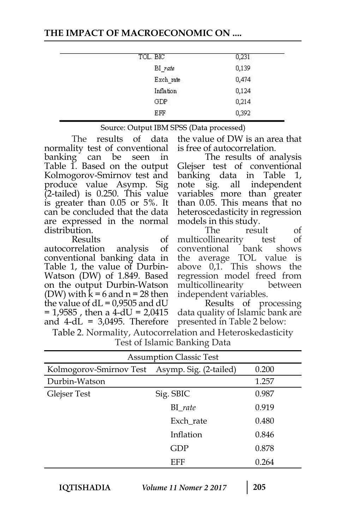#### **THE IMPACT OF MACROECONOMIC ON ....**

| TOL. BIC  | 0,231 |
|-----------|-------|
| BI_rate   | 0,139 |
| Exch rate | 0,474 |
| Inflation | 0,124 |
| GDP       | 0,214 |
| EFF       | 0,392 |

| Source: Output IBM SPSS (Data processed) |  |  |
|------------------------------------------|--|--|
|------------------------------------------|--|--|

The results of data normality test of conventional banking can be seen in Table 1. Based on the output Kolmogorov-Smirnov test and produce value Asymp. Sig (2-tailed) is 0.250. This value is greater than 0.05 or 5%. It can be concluded that the data are expressed in the normal distribution.

Results of<br>rrelation analysis of autocorrelation analysis conventional banking data in Table 1, the value of Durbin-Watson (DW) of 1.849. Based on the output Durbin-Watson (DW) with  $k = 6$  and  $n = 28$  then the value of  $dL = 0.9505$  and  $dU$  $= 1,9585$ , then a 4-dU  $= 2,0415$ and  $4-dL = 3,0495$ . Therefore

the value of DW is an area that is free of autocorrelation.

The results of analysis Glejser test of conventional banking data in Table 1, note sig. all independent variables more than greater than 0.05. This means that no heteroscedasticity in regression models in this study.

The result of multicollinearity test of<br>conventional bank shows conventional bank shows the average TOL value is above 0,1. This shows the regression model freed from multicollinearity between independent variables.

Results of processing data quality of Islamic bank are presented in Table 2 below:

| Table 2. Normality, Autocorrelation and Heteroskedasticity |  |
|------------------------------------------------------------|--|
| Test of Islamic Banking Data                               |  |

| <b>Assumption Classic Test</b>                 |           |       |  |  |  |
|------------------------------------------------|-----------|-------|--|--|--|
| Kolmogorov-Smirnov Test Asymp. Sig. (2-tailed) |           | 0.200 |  |  |  |
| Durbin-Watson                                  |           | 1.257 |  |  |  |
| Glejser Test                                   | Sig. SBIC | 0.987 |  |  |  |
|                                                | $BI_rate$ | 0.919 |  |  |  |
|                                                | Exch_rate | 0.480 |  |  |  |
|                                                | Inflation | 0.846 |  |  |  |
|                                                | GDP       | 0.878 |  |  |  |
|                                                | EFF       | 0.264 |  |  |  |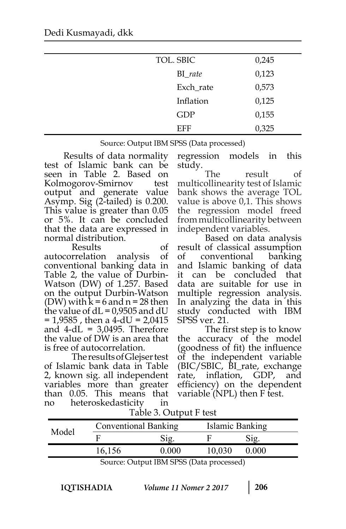| TOL. SBIC  | 0,245 |
|------------|-------|
| $BI_rate$  | 0,123 |
| Exch_rate  | 0,573 |
| Inflation  | 0,125 |
| <b>GDP</b> | 0,155 |
| EFF        | 0,325 |

Source: Output IBM SPSS (Data processed)

 Results of data normality test of Islamic bank can be seen in Table 2. Based on Kolmogorov-Smirnov test output and generate value Asymp. Sig (2-tailed) is 0.200. This value is greater than 0.05 or 5%. It can be concluded that the data are expressed in normal distribution.

Results of autocorrelation analysis of conventional banking data in Table 2, the value of Durbin-Watson (DW) of 1.257. Based on the output Durbin-Watson (DW) with  $k = 6$  and  $n = 28$  then the value of  $dL = 0.9505$  and  $dU$  $= 1,9585$ , then a 4-dU = 2,0415 and  $4-\mathrm{dL} = 3,0495$ . Therefore the value of DW is an area that is free of autocorrelation.

The results of Glejser test of Islamic bank data in Table 2, known sig. all independent variables more than greater than 0.05. This means that no heteroskedasticity in

regression models in this

study.<br>The result of multicollinearity test of Islamic bank shows the average TOL value is above 0,1. This shows the regression model freed from multicollinearity between independent variables.

Based on data analysis result of classical assumption of conventional banking and Islamic banking of data it can be concluded that data are suitable for use in multiple regression analysis. In analyzing the data in this study conducted with IBM SPSS ver. 21.

The first step is to know<br>the accuracy of the model (goodness of fit) the influence of the independent variable (BIC/SBIC, BI\_rate, exchange rate, inflation, GDP, and efficiency) on the dependent variable (NPL) then F test.

| Model | <b>Conventional Banking</b> |                | Islamic Banking |       |  |
|-------|-----------------------------|----------------|-----------------|-------|--|
|       |                             | $\mathrm{Sig}$ |                 | Sig.  |  |
|       | 16,156                      | 0 OOO          | 10.030          | 0.000 |  |

Table 3. Output F test

Source: Output IBM SPSS (Data processed)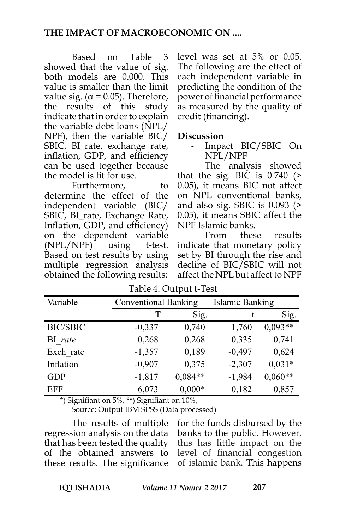Based on Table 3 showed that the value of sig. both models are 0.000. This value is smaller than the limit value sig. ( $\alpha$  = 0.05). Therefore, the results of this study indicate that in order to explain the variable debt loans (NPL/ NPF), then the variable BIC/ SBIC, BI\_rate, exchange rate, inflation, GDP, and efficiency can be used together because the model is fit for use.

Furthermore, to determine the effect of the independent variable (BIC/ SBIC, BI\_rate, Exchange Rate, Inflation, GDP, and efficiency) on the dependent variable (NPL/NPF) using t-test. Based on test results by using multiple regression analysis obtained the following results:

level was set at 5% or 0.05. The following are the effect of each independent variable in predicting the condition of the power of financial performance as measured by the quality of credit (financing).

#### **Discussion**

Impact BIC/SBIC On NPL/NPF

The analysis showed that the sig. BIC is  $0.740$  (> 0.05), it means BIC not affect on NPL conventional banks, and also sig. SBIC is 0.093 (> 0.05), it means SBIC affect the NPF Islamic banks.

From these results indicate that monetary policy set by BI through the rise and decline of BIC/SBIC will not affect the NPL but affect to NPF

| Variable        | <b>Conventional Banking</b> |           | <b>Islamic Banking</b> |           |
|-----------------|-----------------------------|-----------|------------------------|-----------|
|                 | T                           | Sig.      |                        | Sig.      |
| <b>BIC/SBIC</b> | $-0,337$                    | 0,740     | 1,760                  | $0,093**$ |
| BI rate         | 0,268                       | 0,268     | 0,335                  | 0,741     |
| Exch rate       | $-1,357$                    | 0,189     | $-0,497$               | 0,624     |
| Inflation       | $-0,907$                    | 0,375     | $-2,307$               | $0,031*$  |
| <b>GDP</b>      | $-1,817$                    | $0.084**$ | $-1,984$               | $0,060**$ |
| <b>EFF</b>      | 6,073                       | $0,000*$  | 0,182                  | 0,857     |

Table 4. Output t-Test

\*) Signifiant on 5%, \*\*) Signifiant on 10%,

Source: Output IBM SPSS (Data processed)

The results of multiple regression analysis on the data that has been tested the quality of the obtained answers to these results. The significance

for the funds disbursed by the banks to the public. However, this has little impact on the level of financial congestion of islamic bank. This happens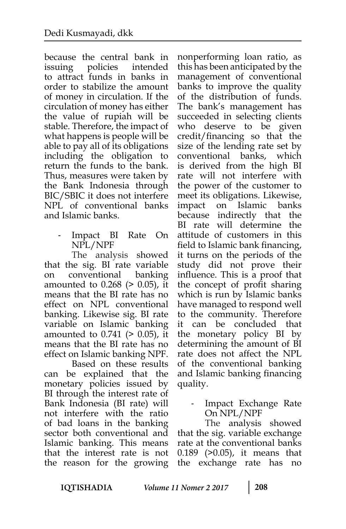because the central bank in issuing policies intended to attract funds in banks in order to stabilize the amount of money in circulation. If the circulation of money has either the value of rupiah will be stable. Therefore, the impact of what happens is people will be able to pay all of its obligations including the obligation to return the funds to the bank. Thus, measures were taken by the Bank Indonesia through BIC/SBIC it does not interfere NPL of conventional banks and Islamic banks.

> Impact BI Rate On NPL/NPF

The analysis showed that the sig. BI rate variable on conventional banking amounted to 0.268 (> 0.05), it means that the BI rate has no effect on NPL conventional banking. Likewise sig. BI rate variable on Islamic banking amounted to 0.741 (> 0.05), it means that the BI rate has no effect on Islamic banking NPF.

Based on these results can be explained that the monetary policies issued by BI through the interest rate of Bank Indonesia (BI rate) will not interfere with the ratio of bad loans in the banking sector both conventional and Islamic banking. This means that the interest rate is not the reason for the growing

nonperforming loan ratio, as this has been anticipated by the management of conventional banks to improve the quality of the distribution of funds. The bank's management has succeeded in selecting clients who deserve to be given credit/financing so that the size of the lending rate set by conventional banks, which is derived from the high BI rate will not interfere with the power of the customer to meet its obligations. Likewise, impact on Islamic banks because indirectly that the BI rate will determine the attitude of customers in this field to Islamic bank financing, it turns on the periods of the study did not prove their influence. This is a proof that the concept of profit sharing which is run by Islamic banks have managed to respond well to the community. Therefore it can be concluded that the monetary policy BI by determining the amount of BI rate does not affect the NPL of the conventional banking and Islamic banking financing quality.

> - Impact Exchange Rate On NPL/NPF

The analysis showed that the sig. variable exchange rate at the conventional banks 0.189 (>0.05), it means that the exchange rate has no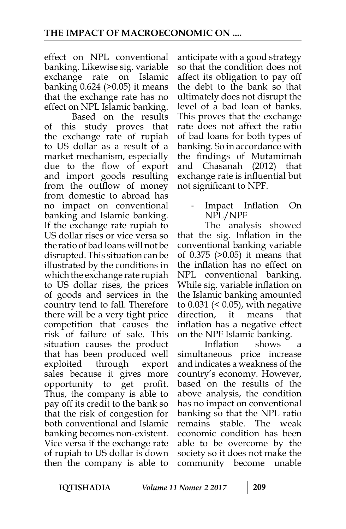effect on NPL conventional banking. Likewise sig. variable exchange rate on Islamic banking 0.624 (>0.05) it means that the exchange rate has no effect on NPL Islamic banking.

Based on the results of this study proves that the exchange rate of rupiah to US dollar as a result of a market mechanism, especially due to the flow of export and import goods resulting from the outflow of money from domestic to abroad has no impact on conventional banking and Islamic banking. If the exchange rate rupiah to US dollar rises or vice versa so the ratio of bad loans will not be disrupted. This situation can be illustrated by the conditions in which the exchange rate rupiah to US dollar rises, the prices of goods and services in the country tend to fall. Therefore there will be a very tight price competition that causes the risk of failure of sale. This situation causes the product that has been produced well exploited through export sales because it gives more opportunity to get profit. Thus, the company is able to pay off its credit to the bank so that the risk of congestion for both conventional and Islamic banking becomes non-existent. Vice versa if the exchange rate of rupiah to US dollar is down then the company is able to

anticipate with a good strategy so that the condition does not affect its obligation to pay off the debt to the bank so that ultimately does not disrupt the level of a bad loan of banks. This proves that the exchange rate does not affect the ratio of bad loans for both types of banking. So in accordance with the findings of Mutamimah and Chasanah (2012) that exchange rate is influential but not significant to NPF.

> Impact Inflation On NPL/NPF

The analysis showed that the sig. Inflation in the conventional banking variable of 0.375 (>0.05) it means that the inflation has no effect on NPL conventional banking. While sig. variable inflation on the Islamic banking amounted to 0.031 (< 0.05), with negative direction, it means that inflation has a negative effect on the NPF Islamic banking.

Inflation shows a simultaneous price increase and indicates a weakness of the country's economy. However, based on the results of the above analysis, the condition has no impact on conventional banking so that the NPL ratio remains stable. The weak economic condition has been able to be overcome by the society so it does not make the community become unable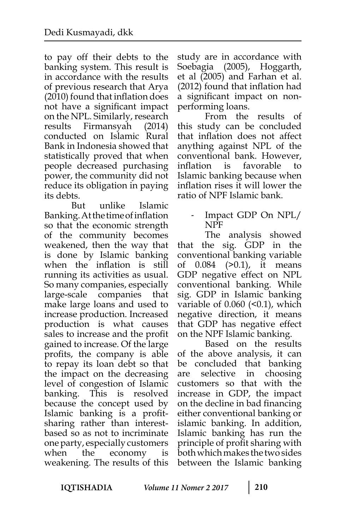to pay off their debts to the banking system. This result is in accordance with the results of previous research that Arya (2010) found that inflation does not have a significant impact on the NPL. Similarly, research results Firmansyah (2014) conducted on Islamic Rural Bank in Indonesia showed that statistically proved that when people decreased purchasing power, the community did not reduce its obligation in paying its debts.

But unlike Islamic Banking. At the time of inflation so that the economic strength of the community becomes weakened, then the way that is done by Islamic banking when the inflation is still running its activities as usual. So many companies, especially large-scale companies that make large loans and used to increase production. Increased production is what causes sales to increase and the profit gained to increase. Of the large profits, the company is able to repay its loan debt so that the impact on the decreasing level of congestion of Islamic banking. This is resolved because the concept used by Islamic banking is a profitsharing rather than interestbased so as not to incriminate one party, especially customers when the economy is weakening. The results of this

study are in accordance with Soebagia (2005), Hoggarth, et al (2005) and Farhan et al. (2012) found that inflation had a significant impact on nonperforming loans.

From the results of this study can be concluded that inflation does not affect anything against NPL of the conventional bank. However, inflation is favorable to Islamic banking because when inflation rises it will lower the ratio of NPF Islamic bank.

- Impact GDP On NPL/ NPF

The analysis showed that the sig. GDP in the conventional banking variable of 0.084 (>0.1), it means GDP negative effect on NPL conventional banking. While sig. GDP in Islamic banking variable of 0.060 (<0.1), which negative direction, it means that GDP has negative effect on the NPF Islamic banking.

Based on the results of the above analysis, it can be concluded that banking are selective in choosing customers so that with the increase in GDP, the impact on the decline in bad financing either conventional banking or islamic banking. In addition, Islamic banking has run the principle of profit sharing with both which makes the two sides between the Islamic banking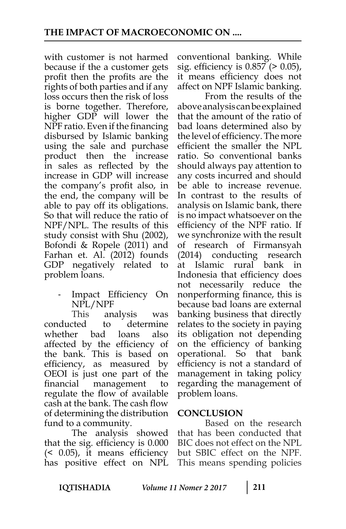with customer is not harmed because if the a customer gets profit then the profits are the rights of both parties and if any loss occurs then the risk of loss is borne together. Therefore, higher GDP will lower the NPF ratio. Even if the financing disbursed by Islamic banking using the sale and purchase product then the increase in sales as reflected by the increase in GDP will increase the company's profit also, in the end, the company will be able to pay off its obligations. So that will reduce the ratio of NPF/NPL. The results of this study consist with Shu (2002), Bofondi & Ropele (2011) and Farhan et. Al. (2012) founds GDP negatively related to problem loans.

> Impact Efficiency On NPL/NPF

This analysis was conducted to determine whether bad loans also affected by the efficiency of the bank. This is based on efficiency, as measured by OEOI is just one part of the financial management to regulate the flow of available cash at the bank. The cash flow of determining the distribution fund to a community.

The analysis showed that the sig. efficiency is 0.000 (< 0.05), it means efficiency has positive effect on NPL

conventional banking. While sig. efficiency is 0.857 (> 0.05), it means efficiency does not affect on NPF Islamic banking.

From the results of the above analysis can be explained that the amount of the ratio of bad loans determined also by the level of efficiency. The more efficient the smaller the NPL ratio. So conventional banks should always pay attention to any costs incurred and should be able to increase revenue. In contrast to the results of analysis on Islamic bank, there is no impact whatsoever on the efficiency of the NPF ratio. If we synchronize with the result of research of Firmansyah (2014) conducting research at Islamic rural bank in Indonesia that efficiency does not necessarily reduce the nonperforming finance, this is because bad loans are external banking business that directly relates to the society in paying its obligation not depending on the efficiency of banking operational. So that bank efficiency is not a standard of management in taking policy regarding the management of problem loans.

## **CONCLUSION**

Based on the research that has been conducted that BIC does not effect on the NPL but SBIC effect on the NPF. This means spending policies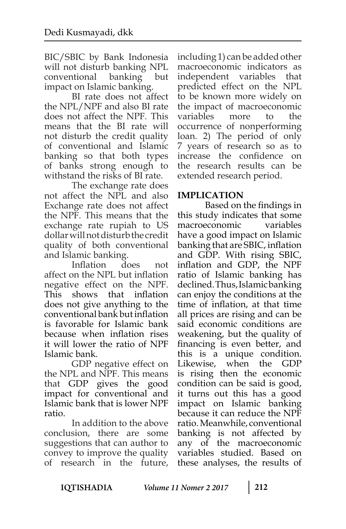BIC/SBIC by Bank Indonesia will not disturb banking NPL conventional banking but impact on Islamic banking.

BI rate does not affect the NPL/NPF and also BI rate does not affect the NPF. This means that the BI rate will not disturb the credit quality of conventional and Islamic banking so that both types of banks strong enough to withstand the risks of BI rate.

The exchange rate does not affect the NPL and also Exchange rate does not affect the NPF. This means that the exchange rate rupiah to US dollar will not disturb the credit quality of both conventional and Islamic banking.

Inflation does not affect on the NPL but inflation negative effect on the NPF. This shows that inflation does not give anything to the conventional bank but inflation is favorable for Islamic bank because when inflation rises it will lower the ratio of NPF Islamic bank.

GDP negative effect on the NPL and NPF. This means that GDP gives the good impact for conventional and Islamic bank that is lower NPF ratio.

In addition to the above conclusion, there are some suggestions that can author to convey to improve the quality of research in the future,

including 1) can be added other macroeconomic indicators as independent variables that predicted effect on the NPL to be known more widely on the impact of macroeconomic variables more to the occurrence of nonperforming loan. 2) The period of only 7 years of research so as to increase the confidence on the research results can be extended research period.

# **IMPLICATION**

Based on the findings in this study indicates that some macroeconomic variables have a good impact on Islamic banking that are SBIC, inflation and GDP. With rising SBIC, inflation and GDP, the NPF ratio of Islamic banking has declined. Thus, Islamic banking can enjoy the conditions at the time of inflation, at that time all prices are rising and can be said economic conditions are weakening, but the quality of financing is even better, and this is a unique condition. Likewise, when the GDP is rising then the economic condition can be said is good, it turns out this has a good impact on Islamic banking because it can reduce the NPF ratio. Meanwhile, conventional banking is not affected by any of the macroeconomic variables studied. Based on these analyses, the results of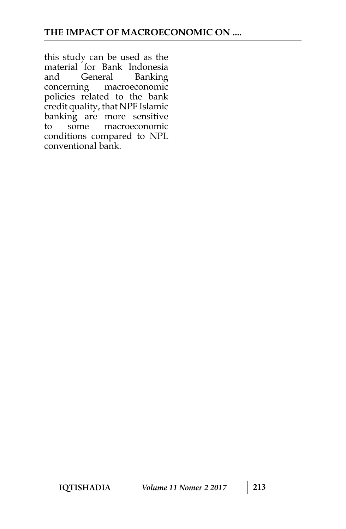this study can be used as the material for Bank Indonesia and General Banking concerning macroeconomic policies related to the bank credit quality, that NPF Islamic banking are more sensitive to some macroeconomic conditions compared to NPL conventional bank.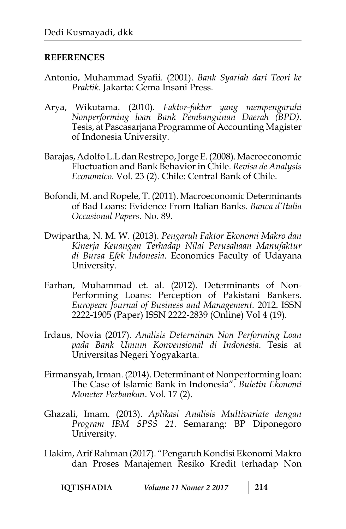#### **REFERENCES**

- Antonio, Muhammad Syafii. (2001). *Bank Syariah dari Teori ke Praktik*. Jakarta: Gema Insani Press.
- Arya, Wikutama. (2010). *Faktor-faktor yang mempengaruhi Nonperforming loan Bank Pembangunan Daerah (BPD).* Tesis, at Pascasarjana Programme of Accounting Magister of Indonesia University.
- Barajas, Adolfo L.L dan Restrepo, Jorge E. (2008). Macroeconomic Fluctuation and Bank Behavior in Chile. *Revisa de Analysis Economico*. Vol. 23 (2). Chile: Central Bank of Chile.
- Bofondi, M. and Ropele, T. (2011). Macroeconomic Determinants of Bad Loans: Evidence From Italian Banks*. Banca d'Italia Occasional Papers*. No. 89.
- Dwipartha, N. M. W. (2013). *Pengaruh Faktor Ekonomi Makro dan Kinerja Keuangan Terhadap Nilai Perusahaan Manufaktur di Bursa Efek Indonesia*. Economics Faculty of Udayana University.
- Farhan, Muhammad et. al. (2012). Determinants of Non-Performing Loans: Perception of Pakistani Bankers. *European Journal of Business and Management.* 2012. ISSN 2222-1905 (Paper) ISSN 2222-2839 (Online) Vol 4 (19).
- Irdaus, Novia (2017). *Analisis Determinan Non Performing Loan pada Bank Umum Konvensional di Indonesia*. Tesis at Universitas Negeri Yogyakarta.
- Firmansyah, Irman. (2014). Determinant of Nonperforming loan: The Case of Islamic Bank in Indonesia". *Buletin Ekonomi Moneter Perbankan*. Vol. 17 (2).
- Ghazali, Imam. (2013). *Aplikasi Analisis Multivariate dengan Program IBM SPSS 21*. Semarang: BP Diponegoro University.
- Hakim, Arif Rahman (2017). "Pengaruh Kondisi Ekonomi Makro dan Proses Manajemen Resiko Kredit terhadap Non
	- IQTISHADIA *Volume 11 Nomer 2 2017* **214**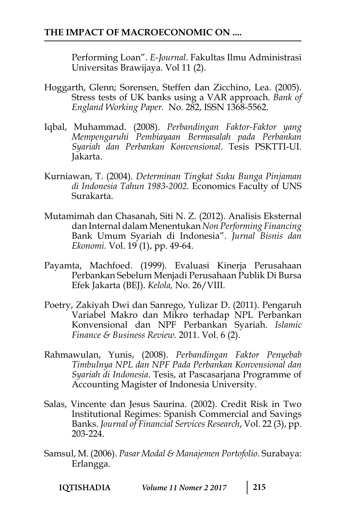Performing Loan". *E-Journal*. Fakultas Ilmu Administrasi Universitas Brawijaya. Vol 11 (2).

- Hoggarth, Glenn; Sorensen, Steffen dan Zicchino, Lea. (2005). Stress tests of UK banks using a VAR approach. *Bank of England Working Paper.* No. 282, ISSN 1368-5562.
- Iqbal, Muhammad. (2008). *Perbandingan Faktor-Faktor yang Mempengaruhi Pembiayaan Bermasalah pada Perbankan Syariah dan Perbankan Konvensional*. Tesis PSKTTI-UI. Jakarta.
- Kurniawan, T. (2004). *Determinan Tingkat Suku Bunga Pinjaman di Indonesia Tahun 1983-2002.* Economics Faculty of UNS Surakarta.
- Mutamimah dan Chasanah, Siti N. Z. (2012). Analisis Eksternal dan Internal dalam Menentukan *Non Performing Financing*  Bank Umum Syariah di Indonesia". *Jurnal Bisnis dan Ekonomi.* Vol. 19 (1), pp. 49-64.
- Payamta, Machfoed. (1999). Evaluasi Kinerja Perusahaan Perbankan Sebelum Menjadi Perusahaan Publik Di Bursa Efek Jakarta (BEJ). *Kelola,* No. 26/VIII.
- Poetry, Zakiyah Dwi dan Sanrego, Yulizar D. (2011). Pengaruh Variabel Makro dan Mikro terhadap NPL Perbankan Konvensional dan NPF Perbankan Syariah. *Islamic Finance & Business Review.* 2011. Vol. 6 (2).
- Rahmawulan, Yunis, (2008). *Perbandingan Faktor Penyebab Timbulnya NPL dan NPF Pada Perbankan Konvensional dan Syariah di Indonesia*. Tesis, at Pascasarjana Programme of Accounting Magister of Indonesia University.
- Salas, Vincente dan Jesus Saurina. (2002). Credit Risk in Two Institutional Regimes: Spanish Commercial and Savings Banks. *Journal of Financial Services Research*, Vol. 22 (3), pp. 203-224.
- Samsul, M. (2006). *Pasar Modal & Manajemen Portofolio*. Surabaya: Erlangga.

| IQTISHADIA | Volume 11 Nomer 2 2017 | $\begin{array}{c} \boxed{215} \\ \end{array}$ |
|------------|------------------------|-----------------------------------------------|
|------------|------------------------|-----------------------------------------------|